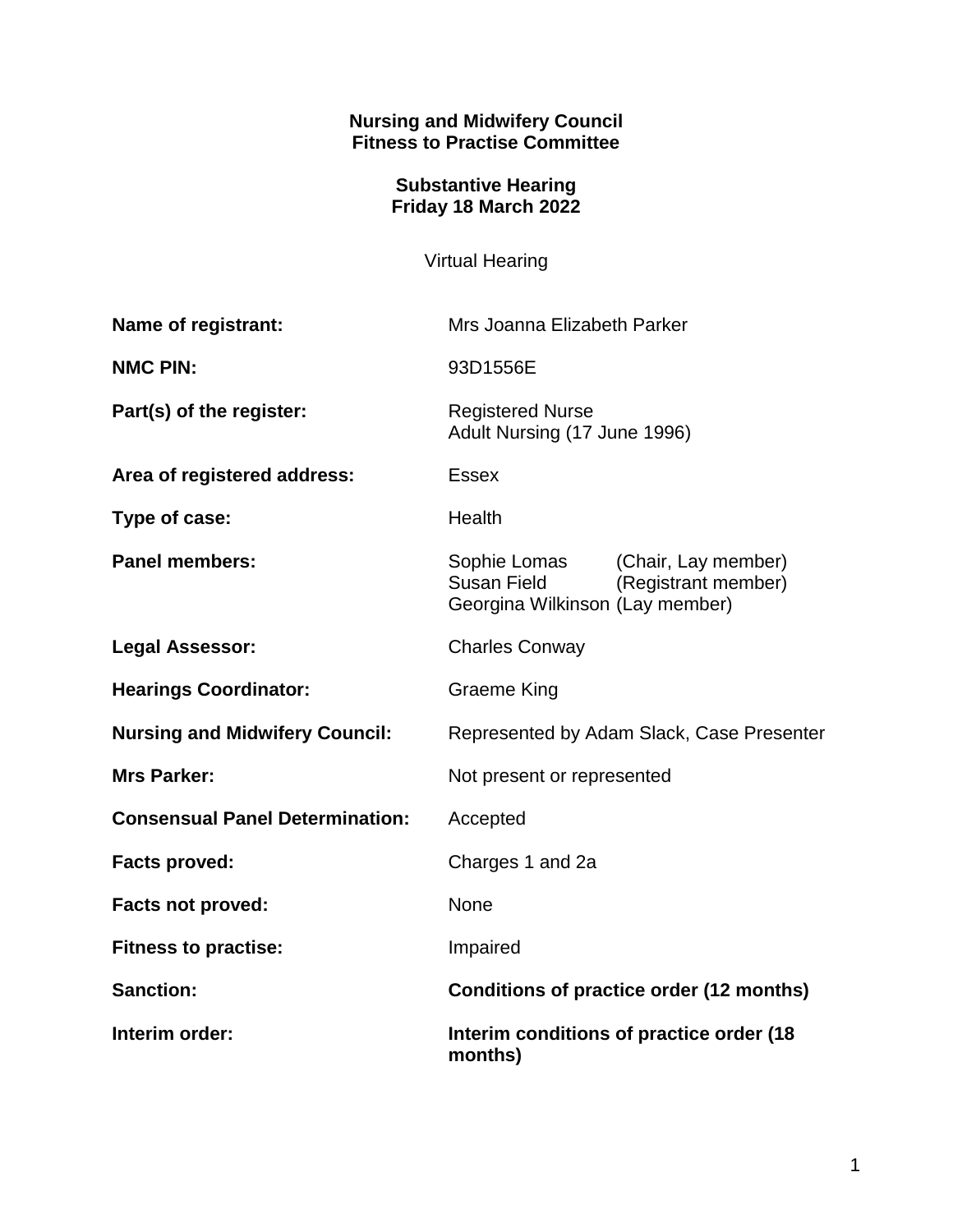## **Nursing and Midwifery Council Fitness to Practise Committee**

## **Substantive Hearing Friday 18 March 2022**

Virtual Hearing

| Name of registrant:                    | Mrs Joanna Elizabeth Parker                                                                                         |
|----------------------------------------|---------------------------------------------------------------------------------------------------------------------|
| <b>NMC PIN:</b>                        | 93D1556E                                                                                                            |
| Part(s) of the register:               | <b>Registered Nurse</b><br>Adult Nursing (17 June 1996)                                                             |
| Area of registered address:            | <b>Essex</b>                                                                                                        |
| Type of case:                          | Health                                                                                                              |
| <b>Panel members:</b>                  | (Chair, Lay member)<br>Sophie Lomas<br><b>Susan Field</b><br>(Registrant member)<br>Georgina Wilkinson (Lay member) |
| <b>Legal Assessor:</b>                 | <b>Charles Conway</b>                                                                                               |
| <b>Hearings Coordinator:</b>           | <b>Graeme King</b>                                                                                                  |
| <b>Nursing and Midwifery Council:</b>  | Represented by Adam Slack, Case Presenter                                                                           |
| <b>Mrs Parker:</b>                     | Not present or represented                                                                                          |
| <b>Consensual Panel Determination:</b> | Accepted                                                                                                            |
| <b>Facts proved:</b>                   | Charges 1 and 2a                                                                                                    |
| <b>Facts not proved:</b>               | <b>None</b>                                                                                                         |
| <b>Fitness to practise:</b>            | Impaired                                                                                                            |
| <b>Sanction:</b>                       | Conditions of practice order (12 months)                                                                            |
| Interim order:                         | Interim conditions of practice order (18<br>months)                                                                 |